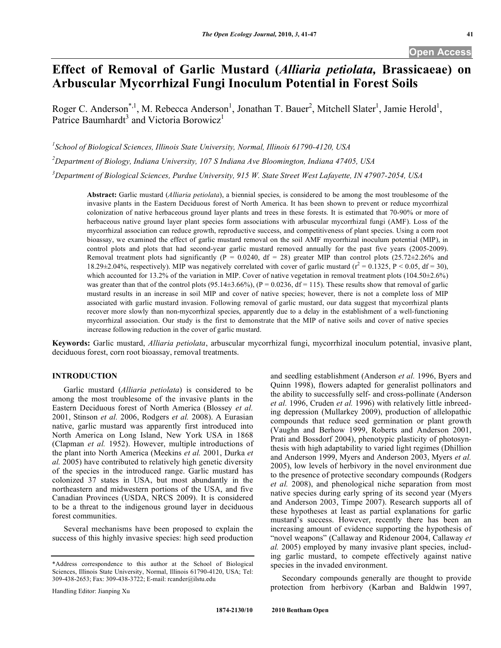# **Effect of Removal of Garlic Mustard (***Alliaria petiolata,* **Brassicaeae) on Arbuscular Mycorrhizal Fungi Inoculum Potential in Forest Soils**

Roger C. Anderson<sup>\*, 1</sup>, M. Rebecca Anderson<sup>1</sup>, Jonathan T. Bauer<sup>2</sup>, Mitchell Slater<sup>1</sup>, Jamie Herold<sup>1</sup>, Patrice Baumhardt<sup>3</sup> and Victoria Borowicz<sup>1</sup>

*1 School of Biological Sciences, Illinois State University, Normal, Illinois 61790-4120, USA*

*2 Department of Biology, Indiana University, 107 S Indiana Ave Bloomington, Indiana 47405, USA*

*3 Department of Biological Sciences, Purdue University, 915 W. State Street West Lafayette, IN 47907-2054, USA*

**Abstract:** Garlic mustard (*Alliaria petiolata*), a biennial species, is considered to be among the most troublesome of the invasive plants in the Eastern Deciduous forest of North America. It has been shown to prevent or reduce mycorrhizal colonization of native herbaceous ground layer plants and trees in these forests. It is estimated that 70-90% or more of herbaceous native ground layer plant species form associations with arbuscular mycorrhizal fungi (AMF). Loss of the mycorrhizal association can reduce growth, reproductive success, and competitiveness of plant species. Using a corn root bioassay, we examined the effect of garlic mustard removal on the soil AMF mycorrhizal inoculum potential (MIP), in control plots and plots that had second-year garlic mustard removed annually for the past five years (2005-2009). Removal treatment plots had significantly (P = 0.0240, df = 28) greater MIP than control plots (25.72 $\pm$ 2.26% and 18.29 $\pm$ 2.04%, respectively). MIP was negatively correlated with cover of garlic mustard ( $r^2 = 0.1325$ , P < 0.05, df = 30), which accounted for 13.2% of the variation in MIP. Cover of native vegetation in removal treatment plots (104.50 $\pm$ 2.6%) was greater than that of the control plots (95.14 $\pm$ 3.66%), (P = 0.0236, df = 115). These results show that removal of garlic mustard results in an increase in soil MIP and cover of native species; however, there is not a complete loss of MIP associated with garlic mustard invasion. Following removal of garlic mustard, our data suggest that mycorrhizal plants recover more slowly than non-mycorrhizal species, apparently due to a delay in the establishment of a well-functioning mycorrhizal association. Our study is the first to demonstrate that the MIP of native soils and cover of native species increase following reduction in the cover of garlic mustard.

**Keywords:** Garlic mustard, *Alliaria petiolata*, arbuscular mycorrhizal fungi, mycorrhizal inoculum potential, invasive plant, deciduous forest, corn root bioassay, removal treatments.

## **INTRODUCTION**

Garlic mustard (*Alliaria petiolata*) is considered to be among the most troublesome of the invasive plants in the Eastern Deciduous forest of North America (Blossey *et al.* 2001, Stinson *et al.* 2006, Rodgers *et al.* 2008). A Eurasian native, garlic mustard was apparently first introduced into North America on Long Island, New York USA in 1868 (Clapman *et al.* 1952). However, multiple introductions of the plant into North America (Meekins *et al.* 2001, Durka *et al.* 2005) have contributed to relatively high genetic diversity of the species in the introduced range. Garlic mustard has colonized 37 states in USA, but most abundantly in the northeastern and midwestern portions of the USA, and five Canadian Provinces (USDA, NRCS 2009). It is considered to be a threat to the indigenous ground layer in deciduous forest communities.

Several mechanisms have been proposed to explain the success of this highly invasive species: high seed production

\*Address correspondence to this author at the School of Biological Sciences, Illinois State University, Normal, Illinois 61790-4120, USA; Tel: 309-438-2653; Fax: 309-438-3722; E-mail: rcander@ilstu.edu

Handling Editor: Jianping Xu

and seedling establishment (Anderson *et al.* 1996, Byers and Quinn 1998), flowers adapted for generalist pollinators and the ability to successfully self- and cross-pollinate (Anderson *et al.* 1996, Cruden *et al.* 1996) with relatively little inbreeding depression (Mullarkey 2009), production of allelopathic compounds that reduce seed germination or plant growth (Vaughn and Berhow 1999, Roberts and Anderson 2001, Prati and Bossdorf 2004), phenotypic plasticity of photosynthesis with high adaptability to varied light regimes (Dhillion and Anderson 1999, Myers and Anderson 2003, Myers *et al.* 2005), low levels of herbivory in the novel environment due to the presence of protective secondary compounds (Rodgers *et al.* 2008), and phenological niche separation from most native species during early spring of its second year (Myers and Anderson 2003, Timpe 2007). Research supports all of these hypotheses at least as partial explanations for garlic mustard's success. However, recently there has been an increasing amount of evidence supporting the hypothesis of "novel weapons" (Callaway and Ridenour 2004, Callaway *et al.* 2005) employed by many invasive plant species, including garlic mustard, to compete effectively against native species in the invaded environment.

Secondary compounds generally are thought to provide protection from herbivory (Karban and Baldwin 1997,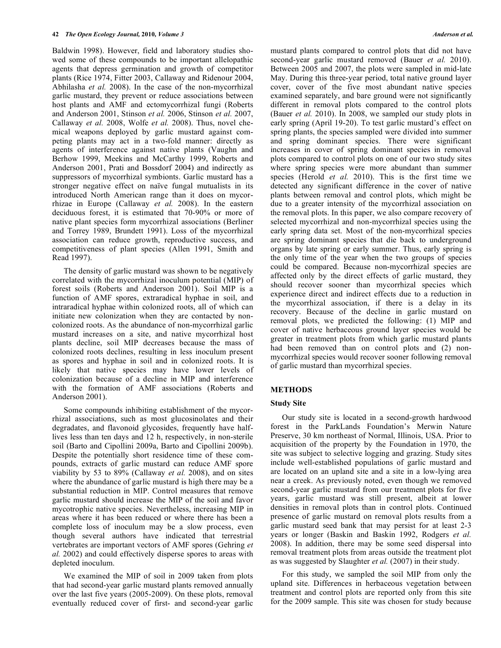Baldwin 1998). However, field and laboratory studies showed some of these compounds to be important allelopathic agents that depress germination and growth of competitor plants (Rice 1974, Fitter 2003, Callaway and Ridenour 2004, Abhilasha *et al.* 2008). In the case of the non-mycorrhizal garlic mustard, they prevent or reduce associations between host plants and AMF and ectomycorrhizal fungi (Roberts and Anderson 2001, Stinson *et al.* 2006, Stinson *et al.* 2007, Callaway *et al.* 2008, Wolfe *et al.* 2008). Thus, novel chemical weapons deployed by garlic mustard against competing plants may act in a two-fold manner: directly as agents of interference against native plants (Vaughn and Berhow 1999, Meekins and McCarthy 1999, Roberts and Anderson 2001, Prati and Bossdorf 2004) and indirectly as suppressors of mycorrhizal symbionts. Garlic mustard has a stronger negative effect on naïve fungal mutualists in its introduced North American range than it does on mycorrhizae in Europe (Callaway *et al.* 2008). In the eastern deciduous forest, it is estimated that 70-90% or more of native plant species form mycorrhizal associations (Berliner and Torrey 1989, Brundett 1991). Loss of the mycorrhizal association can reduce growth, reproductive success, and competitiveness of plant species (Allen 1991, Smith and Read 1997).

The density of garlic mustard was shown to be negatively correlated with the mycorrhizal inoculum potential (MIP) of forest soils (Roberts and Anderson 2001). Soil MIP is a function of AMF spores, extraradical hyphae in soil, and intraradical hyphae within colonized roots, all of which can initiate new colonization when they are contacted by noncolonized roots. As the abundance of non-mycorrhizal garlic mustard increases on a site, and native mycorrhizal host plants decline, soil MIP decreases because the mass of colonized roots declines, resulting in less inoculum present as spores and hyphae in soil and in colonized roots. It is likely that native species may have lower levels of colonization because of a decline in MIP and interference with the formation of AMF associations (Roberts and Anderson 2001).

Some compounds inhibiting establishment of the mycorrhizal associations, such as most glucosinolates and their degradates, and flavonoid glycosides, frequently have halflives less than ten days and 12 h, respectively, in non-sterile soil (Barto and Cipollini 2009a, Barto and Cipollini 2009b). Despite the potentially short residence time of these compounds, extracts of garlic mustard can reduce AMF spore viability by 53 to 89% (Callaway *et al.* 2008), and on sites where the abundance of garlic mustard is high there may be a substantial reduction in MIP. Control measures that remove garlic mustard should increase the MIP of the soil and favor mycotrophic native species. Nevertheless, increasing MIP in areas where it has been reduced or where there has been a complete loss of inoculum may be a slow process, even though several authors have indicated that terrestrial vertebrates are important vectors of AMF spores (Gehring *et al.* 2002) and could effectively disperse spores to areas with depleted inoculum.

We examined the MIP of soil in 2009 taken from plots that had second-year garlic mustard plants removed annually over the last five years (2005-2009). On these plots, removal eventually reduced cover of first- and second-year garlic

mustard plants compared to control plots that did not have second-year garlic mustard removed (Bauer *et al.* 2010). Between 2005 and 2007, the plots were sampled in mid-late May. During this three-year period, total native ground layer cover, cover of the five most abundant native species examined separately, and bare ground were not significantly different in removal plots compared to the control plots (Bauer *et al.* 2010). In 2008, we sampled our study plots in early spring (April 19-20). To test garlic mustard's effect on spring plants, the species sampled were divided into summer and spring dominant species. There were significant increases in cover of spring dominant species in removal plots compared to control plots on one of our two study sites where spring species were more abundant than summer species (Herold *et al.* 2010). This is the first time we detected any significant difference in the cover of native plants between removal and control plots, which might be due to a greater intensity of the mycorrhizal association on the removal plots. In this paper, we also compare recovery of selected mycorrhizal and non-mycorrhizal species using the early spring data set. Most of the non-mycorrhizal species are spring dominant species that die back to underground organs by late spring or early summer. Thus, early spring is the only time of the year when the two groups of species could be compared. Because non-mycorrhizal species are affected only by the direct effects of garlic mustard, they should recover sooner than mycorrhizal species which experience direct and indirect effects due to a reduction in the mycorrhizal association, if there is a delay in its recovery. Because of the decline in garlic mustard on removal plots, we predicted the following: (1) MIP and cover of native herbaceous ground layer species would be greater in treatment plots from which garlic mustard plants had been removed than on control plots and (2) nonmycorrhizal species would recover sooner following removal of garlic mustard than mycorrhizal species.

## **METHODS**

# **Study Site**

Our study site is located in a second-growth hardwood forest in the ParkLands Foundation's Merwin Nature Preserve, 30 km northeast of Normal, Illinois, USA. Prior to acquisition of the property by the Foundation in 1970, the site was subject to selective logging and grazing. Study sites include well-established populations of garlic mustard and are located on an upland site and a site in a low-lying area near a creek. As previously noted, even though we removed second-year garlic mustard from our treatment plots for five years, garlic mustard was still present, albeit at lower densities in removal plots than in control plots. Continued presence of garlic mustard on removal plots results from a garlic mustard seed bank that may persist for at least 2-3 years or longer (Baskin and Baskin 1992, Rodgers *et al.* 2008). In addition, there may be some seed dispersal into removal treatment plots from areas outside the treatment plot as was suggested by Slaughter *et al.* (2007) in their study.

For this study, we sampled the soil MIP from only the upland site. Differences in herbaceous vegetation between treatment and control plots are reported only from this site for the 2009 sample. This site was chosen for study because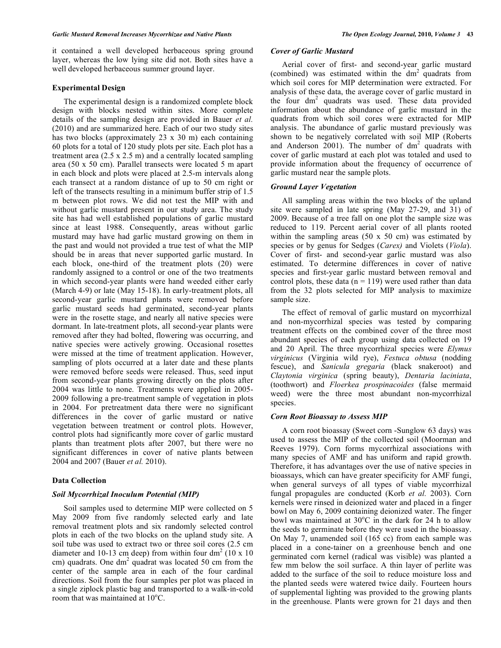it contained a well developed herbaceous spring ground layer, whereas the low lying site did not. Both sites have a well developed herbaceous summer ground layer.

#### **Experimental Design**

The experimental design is a randomized complete block design with blocks nested within sites. More complete details of the sampling design are provided in Bauer *et al.* (2010) and are summarized here. Each of our two study sites has two blocks (approximately 23 x 30 m) each containing 60 plots for a total of 120 study plots per site. Each plot has a treatment area  $(2.5 \times 2.5 \text{ m})$  and a centrally located sampling area (50 x 50 cm). Parallel transects were located 5 m apart in each block and plots were placed at 2.5-m intervals along each transect at a random distance of up to 50 cm right or left of the transects resulting in a minimum buffer strip of 1.5 m between plot rows. We did not test the MIP with and without garlic mustard present in our study area. The study site has had well established populations of garlic mustard since at least 1988. Consequently, areas without garlic mustard may have had garlic mustard growing on them in the past and would not provided a true test of what the MIP should be in areas that never supported garlic mustard. In each block, one-third of the treatment plots (20) were randomly assigned to a control or one of the two treatments in which second-year plants were hand weeded either early (March 4-9) or late (May 15-18). In early-treatment plots, all second-year garlic mustard plants were removed before garlic mustard seeds had germinated, second-year plants were in the rosette stage, and nearly all native species were dormant. In late-treatment plots, all second-year plants were removed after they had bolted, flowering was occurring, and native species were actively growing. Occasional rosettes were missed at the time of treatment application. However, sampling of plots occurred at a later date and these plants were removed before seeds were released. Thus, seed input from second-year plants growing directly on the plots after 2004 was little to none. Treatments were applied in 2005- 2009 following a pre-treatment sample of vegetation in plots in 2004. For pretreatment data there were no significant differences in the cover of garlic mustard or native vegetation between treatment or control plots. However, control plots had significantly more cover of garlic mustard plants than treatment plots after 2007, but there were no significant differences in cover of native plants between 2004 and 2007 (Bauer *et al.* 2010).

## **Data Collection**

#### *Soil Mycorrhizal Inoculum Potential (MIP)*

Soil samples used to determine MIP were collected on 5 May 2009 from five randomly selected early and late removal treatment plots and six randomly selected control plots in each of the two blocks on the upland study site. A soil tube was used to extract two or three soil cores (2.5 cm diameter and 10-13 cm deep) from within four dm<sup>2</sup> (10 x 10) cm) quadrats. One dm<sup>2</sup> quadrat was located 50 cm from the center of the sample area in each of the four cardinal directions. Soil from the four samples per plot was placed in a single ziplock plastic bag and transported to a walk-in-cold room that was maintained at 10°C.

## *Cover of Garlic Mustard*

Aerial cover of first- and second-year garlic mustard (combined) was estimated within the  $dm<sup>2</sup>$  quadrats from which soil cores for MIP determination were extracted. For analysis of these data, the average cover of garlic mustard in the four  $dm^2$  quadrats was used. These data provided information about the abundance of garlic mustard in the quadrats from which soil cores were extracted for MIP analysis. The abundance of garlic mustard previously was shown to be negatively correlated with soil MIP (Roberts and Anderson 2001). The number of  $dm<sup>2</sup>$  quadrats with cover of garlic mustard at each plot was totaled and used to provide information about the frequency of occurrence of garlic mustard near the sample plots.

## *Ground Layer Vegetation*

All sampling areas within the two blocks of the upland site were sampled in late spring (May 27-29, and 31) of 2009. Because of a tree fall on one plot the sample size was reduced to 119. Percent aerial cover of all plants rooted within the sampling areas  $(50 \times 50 \text{ cm})$  was estimated by species or by genus for Sedges (*Carex)* and Violets (*Viola*). Cover of first- and second-year garlic mustard was also estimated. To determine differences in cover of native species and first-year garlic mustard between removal and control plots, these data ( $n = 119$ ) were used rather than data from the 32 plots selected for MIP analysis to maximize sample size.

The effect of removal of garlic mustard on mycorrhizal and non-mycorrhizal species was tested by comparing treatment effects on the combined cover of the three most abundant species of each group using data collected on 19 and 20 April. The three mycorrhizal species were *Elymus virginicus* (Virginia wild rye), *Festuca obtusa* (nodding fescue), and *Sanicula gregaria* (black snakeroot) and *Claytonia virginica* (spring beauty), *Dentaria laciniata*, (toothwort) and *Floerkea prospinacoides* (false mermaid weed) were the three most abundant non-mycorrhizal species.

## *Corn Root Bioassay to Assess MIP*

A corn root bioassay (Sweet corn -Sunglow 63 days) was used to assess the MIP of the collected soil (Moorman and Reeves 1979). Corn forms mycorrhizal associations with many species of AMF and has uniform and rapid growth. Therefore, it has advantages over the use of native species in bioassays, which can have greater specificity for AMF fungi, when general surveys of all types of viable mycorrhizal fungal propagules are conducted (Korb *et al.* 2003). Corn kernels were rinsed in deionized water and placed in a finger bowl on May 6, 2009 containing deionized water. The finger bowl was maintained at  $30^{\circ}$ C in the dark for 24 h to allow the seeds to germinate before they were used in the bioassay. On May 7, unamended soil (165 cc) from each sample was placed in a cone-tainer on a greenhouse bench and one germinated corn kernel (radical was visible) was planted a few mm below the soil surface. A thin layer of perlite was added to the surface of the soil to reduce moisture loss and the planted seeds were watered twice daily. Fourteen hours of supplemental lighting was provided to the growing plants in the greenhouse. Plants were grown for 21 days and then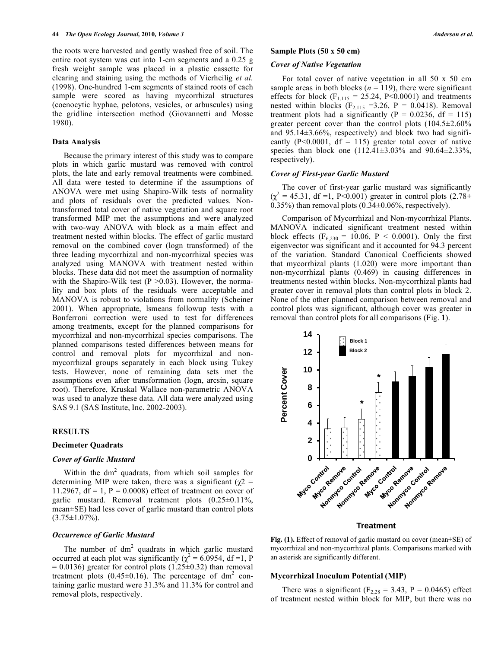the roots were harvested and gently washed free of soil. The entire root system was cut into 1-cm segments and a 0.25 g fresh weight sample was placed in a plastic cassette for clearing and staining using the methods of Vierheilig *et al.*  (1998). One-hundred 1-cm segments of stained roots of each sample were scored as having mycorrhizal structures (coenocytic hyphae, pelotons, vesicles, or arbuscules) using the gridline intersection method (Giovannetti and Mosse 1980).

#### **Data Analysis**

Because the primary interest of this study was to compare plots in which garlic mustard was removed with control plots, the late and early removal treatments were combined. All data were tested to determine if the assumptions of ANOVA were met using Shapiro-Wilk tests of normality and plots of residuals over the predicted values. Nontransformed total cover of native vegetation and square root transformed MIP met the assumptions and were analyzed with two-way ANOVA with block as a main effect and treatment nested within blocks. The effect of garlic mustard removal on the combined cover (logn transformed) of the three leading mycorrhizal and non-mycorrhizal species was analyzed using MANOVA with treatment nested within blocks. These data did not meet the assumption of normality with the Shapiro-Wilk test ( $P > 0.03$ ). However, the normality and box plots of the residuals were acceptable and MANOVA is robust to violations from normality (Scheiner 2001). When appropriate, lsmeans followup tests with a Bonferroni correction were used to test for differences among treatments, except for the planned comparisons for mycorrhizal and non-mycorrhizal species comparisons. The planned comparisons tested differences between means for control and removal plots for mycorrhizal and nonmycorrhizal groups separately in each block using Tukey tests. However, none of remaining data sets met the assumptions even after transformation (logn, arcsin, square root). Therefore, Kruskal Wallace non-parametric ANOVA was used to analyze these data. All data were analyzed using SAS 9.1 (SAS Institute, Inc. 2002-2003).

#### **RESULTS**

## **Decimeter Quadrats**

## *Cover of Garlic Mustard*

Within the  $dm<sup>2</sup>$  quadrats, from which soil samples for determining MIP were taken, there was a significant ( $χ2$  = 11.2967,  $df = 1$ ,  $P = 0.0008$ ) effect of treatment on cover of garlic mustard. Removal treatment plots (0.25±0.11%, mean±SE) had less cover of garlic mustard than control plots  $(3.75 \pm 1.07\%)$ .

#### *Occurrence of Garlic Mustard*

The number of  $dm^2$  quadrats in which garlic mustard occurred at each plot was significantly ( $\chi^2 = 6.0954$ , df =1, P  $= 0.0136$ ) greater for control plots (1.25±0.32) than removal treatment plots  $(0.45\pm0.16)$ . The percentage of dm<sup>2</sup> containing garlic mustard were 31.3% and 11.3% for control and removal plots, respectively.

### **Sample Plots (50 x 50 cm)**

## *Cover of Native Vegetation*

For total cover of native vegetation in all 50 x 50 cm sample areas in both blocks ( $n = 119$ ), there were significant effects for block  $(F_{1,115} = 25.24, P<0.0001)$  and treatments nested within blocks  $(F<sub>2,115</sub> = 3.26, P = 0.0418)$ . Removal treatment plots had a significantly ( $P = 0.0236$ , df = 115) greater percent cover than the control plots (104.5±2.60% and  $95.14\pm3.66\%$ , respectively) and block two had significantly (P<0.0001, df = 115) greater total cover of native species than block one  $(112.41\pm3.03\%$  and  $90.64\pm2.33\%$ , respectively).

#### *Cover of First-year Garlic Mustard*

The cover of first-year garlic mustard was significantly  $(\chi^2 = 45.31, df = 1, P < 0.001)$  greater in control plots  $(2.78 \pm 1)$ 0.35%) than removal plots  $(0.34\pm0.06\%$ , respectively).

Comparison of Mycorrhizal and Non-mycorrhizal Plants. MANOVA indicated significant treatment nested within block effects ( $F_{6,230} = 10.06$ ,  $P < 0.0001$ ). Only the first eigenvector was significant and it accounted for 94.3 percent of the variation. Standard Canonical Coefficients showed that mycorrhizal plants (1.020) were more important than non-mycorrhizal plants (0.469) in causing differences in treatments nested within blocks. Non-mycorrhizal plants had greater cover in removal plots than control plots in block 2. None of the other planned comparison between removal and control plots was significant, although cover was greater in removal than control plots for all comparisons (Fig. **1**).



**Treatment**

**Fig. (1).** Effect of removal of garlic mustard on cover (mean±SE) of mycorrhizal and non-mycorrhizal plants. Comparisons marked with an asterisk are significantly different.

#### **Mycorrhizal Inoculum Potential (MIP)**

There was a significant ( $F_{2,28} = 3.43$ ,  $P = 0.0465$ ) effect of treatment nested within block for MIP, but there was no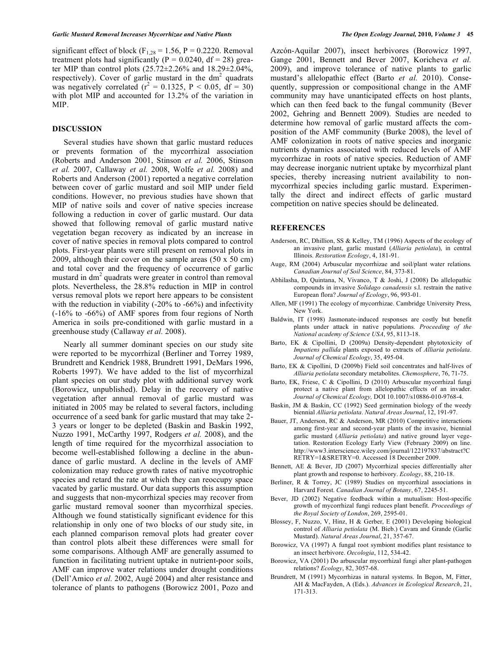significant effect of block ( $F_{1,28} = 1.56$ ,  $P = 0.2220$ . Removal treatment plots had significantly ( $P = 0.0240$ , df = 28) greater MIP than control plots  $(25.72 \pm 2.26\%$  and  $18.29 \pm 2.04\%$ , respectively). Cover of garlic mustard in the dm<sup>2</sup> quadrats was negatively correlated  $(r^2 = 0.1325, P < 0.05, df = 30)$ with plot MIP and accounted for 13.2% of the variation in MIP.

## **DISCUSSION**

Several studies have shown that garlic mustard reduces or prevents formation of the mycorrhizal association (Roberts and Anderson 2001, Stinson *et al.* 2006, Stinson *et al.* 2007, Callaway *et al.* 2008, Wolfe *et al.* 2008) and Roberts and Anderson (2001) reported a negative correlation between cover of garlic mustard and soil MIP under field conditions. However, no previous studies have shown that MIP of native soils and cover of native species increase following a reduction in cover of garlic mustard. Our data showed that following removal of garlic mustard native vegetation began recovery as indicated by an increase in cover of native species in removal plots compared to control plots. First-year plants were still present on removal plots in 2009, although their cover on the sample areas (50 x 50 cm) and total cover and the frequency of occurrence of garlic mustard in  $dm<sup>2</sup>$  quadrats were greater in control than removal plots. Nevertheless, the 28.8% reduction in MIP in control versus removal plots we report here appears to be consistent with the reduction in viability (-20% to -66%) and infectivity (-16% to -66%) of AMF spores from four regions of North America in soils pre-conditioned with garlic mustard in a greenhouse study (Callaway *et al.* 2008).

Nearly all summer dominant species on our study site were reported to be mycorrhizal (Berliner and Torrey 1989, Brundrett and Kendrick 1988, Brundrett 1991, DeMars 1996, Roberts 1997). We have added to the list of mycorrhizal plant species on our study plot with additional survey work (Borowicz, unpublished). Delay in the recovery of native vegetation after annual removal of garlic mustard was initiated in 2005 may be related to several factors, including occurrence of a seed bank for garlic mustard that may take 2- 3 years or longer to be depleted (Baskin and Baskin 1992, Nuzzo 1991, McCarthy 1997, Rodgers *et al.* 2008), and the length of time required for the mycorrhizal association to become well-established following a decline in the abundance of garlic mustard. A decline in the levels of AMF colonization may reduce growth rates of native mycotrophic species and retard the rate at which they can reoccupy space vacated by garlic mustard. Our data supports this assumption and suggests that non-mycorrhizal species may recover from garlic mustard removal sooner than mycorrhizal species. Although we found statistically significant evidence for this relationship in only one of two blocks of our study site, in each planned comparison removal plots had greater cover than control plots albeit these differences were small for some comparisons. Although AMF are generally assumed to function in facilitating nutrient uptake in nutrient-poor soils, AMF can improve water relations under drought conditions (Dell'Amico *et al.* 2002, Augé 2004) and alter resistance and tolerance of plants to pathogens (Borowicz 2001, Pozo and Azcón-Aquilar 2007), insect herbivores (Borowicz 1997, Gange 2001, Bennett and Bever 2007, Koricheva *et al.* 2009), and improve tolerance of native plants to garlic mustard's allelopathic effect (Barto *et al.* 2010). Consequently, suppression or compositional change in the AMF community may have unanticipated effects on host plants, which can then feed back to the fungal community (Bever 2002, Gehring and Bennett 2009). Studies are needed to determine how removal of garlic mustard affects the composition of the AMF community (Burke 2008), the level of AMF colonization in roots of native species and inorganic nutrients dynamics associated with reduced levels of AMF mycorrhizae in roots of native species. Reduction of AMF may decrease inorganic nutrient uptake by mycorrhizal plant species, thereby increasing nutrient availability to nonmycorrhizal species including garlic mustard. Experimentally the direct and indirect effects of garlic mustard competition on native species should be delineated.

#### **REFERENCES**

- Anderson, RC, Dhillion, SS & Kelley, TM (1996) Aspects of the ecology of an invasive plant, garlic mustard (*Alliaria petiolata*), in central Illinois. *Restoration Ecology*, 4, 181-91.
- Auge, RM (2004) Arbuscular mycorrhizae and soil/plant water relations. *Canadian Journal of Soil Science*, 84, 373-81.
- Abhilasha, D, Quintana, N, Vivanco, T & Joshi, J (2008) Do allelopathic compounds in invasive *Solidago canadensis* s.l. restrain the native European flora? *Journal of Ecology*, 96, 993-01.
- Allen, MF (1991) The ecology of mycorrhizae. Cambridge University Press, New York.
- Baldwin, IT (1998) Jasmonate-induced responses are costly but benefit plants under attack in native populations. *Proceeding of the National academy of Science USA*, 95, 8113-18.
- Barto, EK & Cipollini, D (2009a) Density-dependent phytotoxicity of *Impatiens pallida* plants exposed to extracts of *Alliaria petiolata*. *Journal of Chemical Ecology*, 35, 495-04.
- Barto, EK & Cipollini, D (2009b) Field soil concentrates and half-lives of *Alliaria petiolata* secondary metabolites. *Chemosphere*, 76, 71-75.
- Barto, EK, Friese, C & Cipollini, D (2010) Arbuscular mycorrhizal fungi protect a native plant from allelopathic effects of an invader. *Journal of Chemical Ecology,* DOI 10.1007/s10886-010-9768-4.
- Baskin, JM & Baskin, CC (1992) Seed germination biology of the weedy biennial *Alliaria petiolata*. *Natural Areas Journal*, 12, 191-97.
- Bauer, JT, Anderson, RC & Anderson, MR (2010) Competitive interactions among first-year and second-year plants of the invasive, biennial garlic mustard (*Alliaria petiolata*) and native ground layer vegetation. Restoration Ecology Early View (February 2009) on line. http://www3.interscience.wiley.com/journal/122197837/abstract?C RETRY=1&SRETRY=0. Accessed 18 December 2009.
- Bennett, AE & Bever, JD (2007) Mycorrhizal species differentially alter plant growth and response to herbivory. *Ecology*, 88, 210-18.
- Berliner, R & Torrey, JC (1989) Studies on mycorrhizal associations in Harvard Forest. *Canadian Journal of Botany*, 67, 2245-51.
- Bever, JD (2002) Negative feedback within a mutualism: Host-specific growth of mycorrhizal fungi reduces plant benefit. *Proceedings of the Royal Society of London*, 269, 2595-01.
- Blossey, F, Nuzzo, V, Hinz, H & Gerber, E (2001) Developing biological control of *Alliaria petiolata* (M. Bieb.) Cavara and Grande (Garlic Mustard). *Natural Areas Journal*, 21, 357-67.
- Borowicz, VA (1997) A fungal root symbiont modifies plant resistance to an insect herbivore. *Oecologia*, 112, 534-42.
- Borowicz, VA (2001) Do arbuscular mycorrhizal fungi alter plant-pathogen relations? *Ecology*, 82, 3057-68.
- Brundrett, M (1991) Mycorrhizas in natural systems. In Begon, M, Fitter, AH & MacFayden, A (Eds.). *Advances in Ecological Research*, 21, 171-313.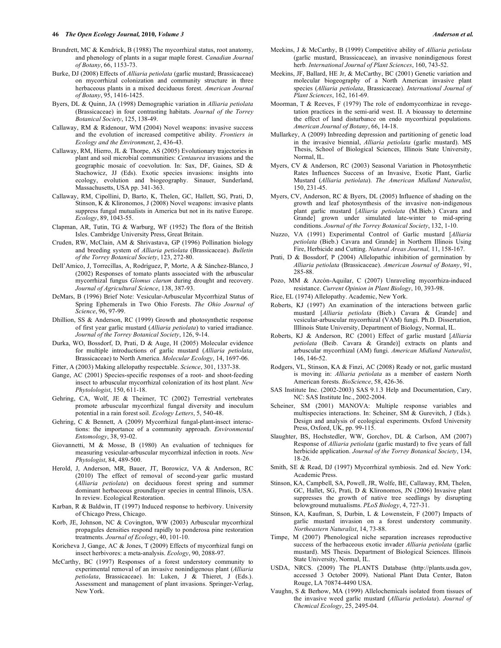- Brundrett, MC & Kendrick, B (1988) The mycorrhizal status, root anatomy, and phenology of plants in a sugar maple forest. *Canadian Journal of Botany*, 66, 1153-73.
- Burke, DJ (2008) Effects of *Alliaria petiolata* (garlic mustard; Brassicaceae) on mycorrhizal colonization and community structure in three herbaceous plants in a mixed deciduous forest. *American Journal of Botany*, 95, 1416-1425.
- Byers, DL & Quinn, JA (1998) Demographic variation in *Alliaria petiolata* (Brassicaceae) in four contrasting habitats. *Journal of the Torrey Botanical Society*, 125, 138-49.
- Callaway, RM & Ridenour, WM (2004) Novel weapons: invasive success and the evolution of increased competitive ability. *Frontiers in Ecology and the Environment*, 2, 436-43.
- Callaway, RM, Hierro, JL & Thorpe, AS (2005) Evolutionary trajectories in plant and soil microbial communities: *Centaurea* invasions and the geographic mosaic of coevolution. In: Sax, DF, Gaines, SD & Stachowicz, JJ (Eds). Exotic species invasions: insights into ecology, evolution and biogeography. Sinauer, Sunderland, Massachusetts, USA pp. 341-363.
- Callaway, RM, Cipollini, D, Barto, K, Thelen, GC, Hallett, SG, Prati, D, Stinson, K & Klironomos, J (2008) Novel weapons: invasive plants suppress fungal mutualists in America but not in its native Europe. *Ecology*, 89, 1043-55.
- Clapman, AR, Tutin, TG & Warburg, WF (1952) The flora of the British Isles. Cambridge University Press, Great Britain.
- Cruden, RW, McClain, AM & Shrivastava, GP (1996) Pollination biology and breeding system of *Alliaria petiolata* (Brassicaceae). *Bulletin of the Torrey Botanical Society*, 123, 272-80.
- Dell'Amico, J, Torrecillas, A, Rodríguez, P, Morte, A & Sánchez-Blanco, J (2002) Responses of tomato plants associated with the arbuscular mycorrhizal fungus *Glomus clarum* during drought and recovery. *Journal of Agricultural Science*, 138, 387-93.
- DeMars, B (1996) Brief Note: Vesicular-Arbuscular Mycorrhizal Status of Spring Ephemerals in Two Ohio Forests. *The Ohio Journal of Science*, 96, 97-99.
- Dhillion, SS & Anderson, RC (1999) Growth and photosynthetic response of first year garlic mustard (*Alliaria petiolata*) to varied irradiance. *Journal of the Torrey Botanical Society*, 126, 9-14.
- Durka, WO, Bossdorf, D, Prati, D & Auge, H (2005) Molecular evidence for multiple introductions of garlic mustard (*Alliaria petiolata*, Brassicaceae) to North America. *Molecular Ecology*, 14, 1697-06.
- Fitter, A (2003) Making allelopathy respectable. *Science*, 301, 1337-38.
- Gange, AC (2001) Species-specific responses of a root- and shoot-feeding insect to arbuscular mycorrhizal colonization of its host plant. *New Phytolologist*, 150, 611-18.
- Gehring, CA, Wolf, JE & Theimer, TC (2002) Terrestrial vertebrates promote arbuscular mycorrhizal fungal diversity and inoculum potential in a rain forest soil. *Ecology Letters*, 5, 540-48.
- Gehring, C & Bennett, A (2009) Mycorrhizal fungal-plant-insect interactions: the importance of a community approach. *Environmental Entomology*, 38, 93-02.
- Giovannetti, M & Mosse, B (1980) An evaluation of techniques for measuring vesicular-arbuscular mycorrhizal infection in roots. *New Phytologist*, 84, 489-500.
- Herold, J, Anderson, MR, Bauer, JT, Borowicz, VA & Anderson, RC (2010) The effect of removal of second-year garlic mustard (*Alliaria petiolata*) on deciduous forest spring and summer dominant herbaceous groundlayer species in central Illinois, USA. In review. Ecological Restoration.
- Karban, R & Baldwin, IT (1997) Induced response to herbivory. University of Chicago Press, Chicago.
- Korb, JE, Johnson, NC & Covington, WW (2003) Arbuscular mycorrhizal propagules densities respond rapidly to ponderosa pine restoration treatments. *Journal of Ecology*, 40, 101-10.
- Koricheva J, Gange, AC & Jones, T (2009) Effects of mycorrhizal fungi on insect herbivores: a meta-analysis. *Ecology*, 90, 2088-97.
- McCarthy, BC (1997) Responses of a forest understory community to experimental removal of an invasive nonindigenous plant (*Alliaria petiolata*, Brassicaceae). In: Luken, J & Thieret, J (Eds.). Assessment and management of plant invasions. Springer-Verlag, New York.
- Meekins, J & McCarthy, B (1999) Competitive ability of *Alliaria petiolata* (garlic mustard, Brassicaceae), an invasive nonindigenous forest herb*. International Journal of Plant Sciences*, 160, 743-52.
- Meekins, JF, Ballard, HE Jr, & McCarthy, BC (2001) Genetic variation and molecular biogeography of a North American invasive plant species (*Alliaria petiolata*, Brassicaceae). *International Journal of Plant Sciences*, 162, 161-69.
- Moorman, T & Reeves, F (1979) The role of endomycorrhizae in revegetation practices in the semi-arid west. II. A bioassay to determine the effect of land disturbance on endo mycorrhizal populations. *American Journal of Botany*, 66, 14-18.
- Mullarkey, A (2009) Inbreeding depression and partitioning of genetic load in the invasive biennial, *Alliaria petiolata* (garlic mustard). MS Thesis, School of Biological Sciences, Illinois State University, Normal, IL.
- Myers, CV & Anderson, RC (2003) Seasonal Variation in Photosynthetic Rates Influences Success of an Invasive, Exotic Plant, Garlic Mustard (*Alliaria petiolata*). *The American Midland Naturalist*, 150, 231-45.
- Myers, CV, Anderson, RC & Byers, DL (2005) Influence of shading on the growth and leaf photosynthesis of the invasive non-indigenous plant garlic mustard [*Alliaria petiolata* (M.Bieb.) Cavara and Grande] grown under simulated late-winter to mid-spring conditions. *Journal of the Torrey Botanical Society*, 132, 1-10.
- Nuzzo, VA (1991) Experimental Control of Garlic mustard [*Alliaria petiolata* (Bieb.) Cavara and Grande] in Northern Illinois Using Fire, Herbicide and Cutting. *Natural Areas Journal,* 11, 158-167.
- Prati, D & Bossdorf, P (2004) Allelopathic inhibition of germination by *Alliaria petiolata* (Brassicaceae). *American Journal of Botany*, 91, 285-88.
- Pozo, MM & Azcón-Aquilar, C (2007) Unraveling mycorrhiza-induced resistance. *Current Opinion in Plant Biology*, 10, 393-98.
- Rice, EL (1974) Allelopathy. Academic, New York.
- Roberts, KJ (1997) An examination of the interactions between garlic mustard [*Alliaria petiolata* (Bieb.) Cavara & Grande] and vesicular-arbuscular mycorrhizal (VAM) fungi. Ph.D. Dissertation, Illlinois State University, Department of Biology, Normal, IL.
- Roberts, KJ & Anderson, RC (2001) Effect of garlic mustard [*Alliaria petiolata* (Beib. Cavara & Grande)] extracts on plants and arbuscular mycorrhizal (AM) fungi. *American Midland Naturalist*, 146, 146-52.
- Rodgers, VL, Stinson, KA & Finzi, AC (2008) Ready or not, garlic mustard is moving in: *Alliaria petiolata* as a member of eastern North American forests. *BioScience*, 58, 426-36.
- SAS Institute Inc. (2002-2003) SAS 9.1.3 Help and Documentation, Cary, NC: SAS Institute Inc., 2002-2004.
- Scheiner, SM (2001) MANOVA: Multiple response variables and multispecies interactions. In: Scheiner, SM & Gurevitch, J (Eds.). Design and analysis of ecological experiments. Oxford University Press, Oxford, UK, pp. 99-115.
- Slaughter, BS, Hochstedler, WW, Gorchov, DL & Carlson, AM (2007) Response of *Alliaria petiolata* (garlic mustard) to five years of fall herbicide application. *Journal of the Torrey Botanical Society*, 134, 18-26.
- Smith, SE & Read, DJ (1997) Mycorrhizal symbiosis. 2nd ed. New York: Academic Press.
- Stinson, KA, Campbell, SA, Powell, JR, Wolfe, BE, Callaway, RM, Thelen, GC, Hallet, SG, Prati, D & Klironomos, JN (2006) Invasive plant suppresses the growth of native tree seedlings by disrupting belowground mutualisms. *PLoS Biology*, 4, 727-31.
- Stinson, KA, Kaufman, S, Durbin, L & Lowenstein, F (2007) Impacts of garlic mustard invasion on a forest understory community. *Northeastern Naturalist*, 14, 73-88.
- Timpe, M (2007) Phenological niche separation increases reproductive success of the herbaceous exotic invader *Alliaria petiolata* (garlic mustard). MS Thesis. Department of Biological Sciences. Illinois State University, Normal, IL.
- USDA, NRCS. (2009) The PLANTS Database (http://plants.usda.gov, accessed 3 October 2009). National Plant Data Center, Baton Rouge, LA 70874-4490 USA.
- Vaughn, S & Berhow, MA (1999) Allelochemicals isolated from tissues of the invasive weed garlic mustard (*Alliaria petiolata*). *Journal of Chemical Ecology*, 25, 2495-04.